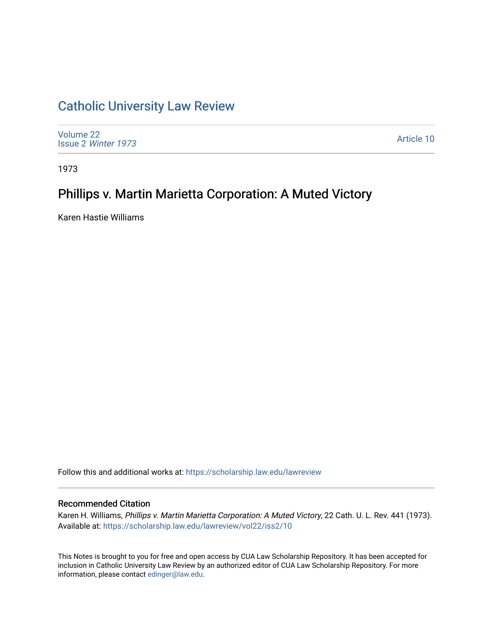# [Catholic University Law Review](https://scholarship.law.edu/lawreview)

[Volume 22](https://scholarship.law.edu/lawreview/vol22) Issue 2 [Winter 1973](https://scholarship.law.edu/lawreview/vol22/iss2) 

[Article 10](https://scholarship.law.edu/lawreview/vol22/iss2/10) 

1973

# Phillips v. Martin Marietta Corporation: A Muted Victory

Karen Hastie Williams

Follow this and additional works at: [https://scholarship.law.edu/lawreview](https://scholarship.law.edu/lawreview?utm_source=scholarship.law.edu%2Flawreview%2Fvol22%2Fiss2%2F10&utm_medium=PDF&utm_campaign=PDFCoverPages)

## Recommended Citation

Karen H. Williams, Phillips v. Martin Marietta Corporation: A Muted Victory, 22 Cath. U. L. Rev. 441 (1973). Available at: [https://scholarship.law.edu/lawreview/vol22/iss2/10](https://scholarship.law.edu/lawreview/vol22/iss2/10?utm_source=scholarship.law.edu%2Flawreview%2Fvol22%2Fiss2%2F10&utm_medium=PDF&utm_campaign=PDFCoverPages) 

This Notes is brought to you for free and open access by CUA Law Scholarship Repository. It has been accepted for inclusion in Catholic University Law Review by an authorized editor of CUA Law Scholarship Repository. For more information, please contact [edinger@law.edu.](mailto:edinger@law.edu)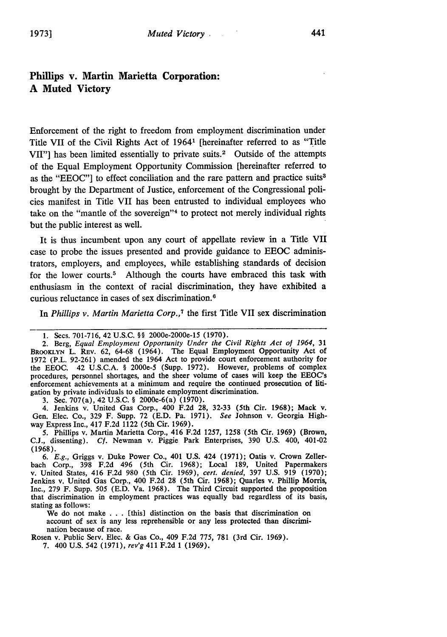## Phillips **v. Martin Marietta Corporation: A Muted Victory**

Enforcement of the right to freedom from employment discrimination under Title VII of the Civil Rights Act of 19641 [hereinafter referred to as "Title VII"] has been limited essentially to private suits.<sup>2</sup> Outside of the attempts of the Equal Employment Opportunity Commission [hereinafter referred to as the **"EEOC"]** to effect conciliation and the rare pattern and practice suits3 brought **by** the Department of Justice, enforcement of the Congressional policies manifest in Title VII has been entrusted to individual employees who take on the "mantle of the sovereign"<sup>4</sup> to protect not merely individual rights but the public interest as well.

It is thus incumbent upon any court of appellate review in a Title VII case to probe the issues presented and provide guidance to **EEOC** administrators, employers, and employees, while establishing standards of decision for the lower courts.<sup>5</sup> Although the courts have embraced this task with enthusiasm in the context of racial discrimination, they have exhibited a curious reluctance in cases of sex discrimination.<sup>6</sup>

In *Phillips v. Martin Marietta Corp.,7* the first Title VII sex discrimination

**3.** Sec. 707(a), 42 **U.S.C.** § 2000e-6(a) **(1970).**

4. Jenkins v. United Gas Corp., 400 **F.2d 28, 32-33** (5th Cir. **1968);** Mack v. Gen. Elec. Co., **329** F. Supp. **72 (E.D.** Pa. **1971).** *See* Johnson v. Georgia Highway Express Inc., 417 **F.2d** 1122 (5th Cir. **1969).**

**5.** Phillips v. Martin Marietta Corp., 416 **F.2d 1257, 1258** (5th Cir. **1969)** (Brown, **C.J.,** dissenting). *Cf.* Newman v. Piggie Park Enterprises, **390 U.S.** 400, 401-02 **(1968).**

*6. E.g.,* Griggs v. Duke Power Co., 401 **U.S.** 424 **(1971);** Oatis v. Crown Zellerbach Corp., **398 F.2d** 496 (5th Cir. **1968);** Local **189,** United Papermakers v. United States, 416 **F.2d 980** (5th Cir. **1969),** *cert. denied,* **397 U.S. 919 (1970);** Jenkins v. United Gas Corp., 400 **F.2d 28** (5th Cir. **1968);** Quarles v. Phillip Morris, Inc., **279** F. Supp. **505 (E.D.** Va. **1968).** The Third Circuit supported the proposition that discrimination in employment practices was equally bad regardless of its basis, stating as follows:

We do not make **. ..** [this] distinction on the basis that discrimination on account of sex is any less reprehensible or any less protected than discrimination because of race.

Rosen v. Public Serv. Elec. **&** Gas Co., 409 **F.2d 775, 781** (3rd Cir. **1969).**

**7.** 400 **U.S.** 542 **(1971),** *rev'g* 411 **F.2d 1 (1969).**

**<sup>1.</sup>** Secs. **701-716,** 42 **U.S.C.** §§ 2000e-2000e-15 **(1970).**

<sup>2.</sup> Berg, *Equal Employment Opportunity Under the Civil Rights Act of 1964,* **31 BROOKLYN** L. REV. **62, 64-68** (1964). The Equal Employment Opportunity Act of **1972** (P.L. **92-261)** amended the 1964 Act to provide court enforcement authority for the **EEOC.** 42 **U.S.C.A.** § 2000e-5 (Supp. **1972).** However, problems of complex procedures, personnel shortages, and the sheer volume of cases will keep the EEOC's enforcement achievements at a minimum and require the continued prosecution of litigation **by** private individuals to eliminate employment discrimination.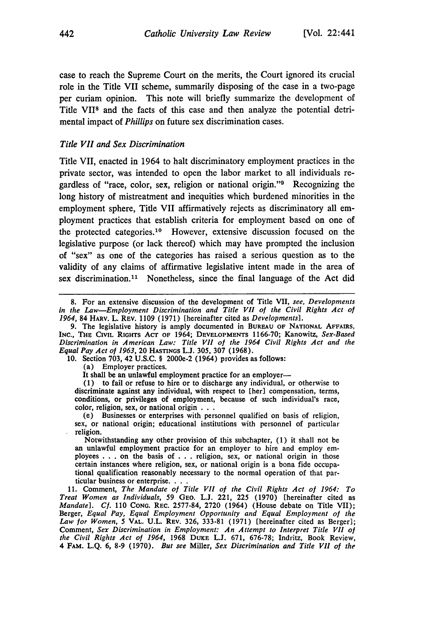case to reach the Supreme Court on the merits, the Court ignored its crucial role in the Title VII scheme, summarily disposing of the case in a two-page per curiam opinion. This note will briefly summarize the development of Title **V11 <sup>8</sup>**and the facts of this case and then analyze the potential detrimental impact of *Phillips* on future sex discrimination cases.

### *Title VII and Sex Discrimination*

Title VII, enacted in 1964 to halt discriminatory employment practices in the private sector, was intended to open the labor market to all individuals regardless of "race, color, sex, religion or national origin." $9$  Recognizing the long history of mistreatment and inequities which burdened minorities in the employment sphere, Title VII affirmatively rejects as discriminatory all employment practices that establish criteria for employment based on one of the protected categories. 10 However, extensive discussion focused on the legislative purpose (or lack thereof) which may have prompted the inclusion of "sex" as one of the categories has raised a serious question as to the validity of any claims of affirmative legislative intent made in the area of sex discrimination.<sup>11</sup> Nonetheless, since the final language of the Act did

**10.** Section 703, 42 U.S.C. § 2000e-2 (1964) provides as follows:

(a) Employer practices.

It shall be an unlawful employment practice for an employer-

**(1)** to fail or refuse to hire or to discharge any individual, or otherwise to discriminate against any individual, with respect to [her] compensation, terms, conditions, or privileges of employment, because of such individual's race, color, religion, sex, or national origin **...** (e) Businesses or enterprises with personnel qualified on basis of religion,

sex, or national origin; educational institutions with personnel of particular religion.

Notwithstanding any other provision of this subchapter,  $(1)$  it shall not be an unlawful employment practice for an employer to hire and employ employees . . . on the basis of . . . religion, sex, or national origin in t certain instances where religion, sex, or national origin is a bona fide occupational qualification reasonably necessary to the normal operation of that particular business or enterprise **...**

11. Comment, *The Mandate of Title VII of the Civil Rights Act of 1964: To Treat Women as Individuals,* 59 GEO. L.J. 221, 225 (1970) [hereinafter cited as *Mandate].* **Cf.** 110 **CONG.** REC. 2577-84, 2720 (1964) (House debate on Title VII); Berger, *Equal Pay, Equal Employment Opportunity and Equal Employment of the Law for Women, 5* VAL. U.L. **REV.** 326, 333-81 (1971) [hereinafter cited as Berger]; Comment, *Sex* Discrimination in Employment: An *Attempt to Interpret Title VII of the Civil Rights Act of 1964,* 1968 **DUKE** L.J. 671, 676-78; Indritz, Book Review, 4 **FAM.** L.Q. 6, 8-9 (1970). *But see* Miller, *Sex Discrimination and Title VII of the*

<sup>8.</sup> For an extensive discussion of the development of Title VII, *see, Developments in the Law-Employment Discrimination and Title VII of the Civil Rights Act of 1964,* 84 HARV. L. REV. 1109 (1971) [hereinafter cited as *Developments].*

<sup>9.</sup> The legislative history is amply documented in **BUREAU** OF NATIONAL AFFAIRS, INC., THE CIVIL RIGHTS **ACT** OF 1964; **DEVELOPMENTS** 1166-70; Kanowitz, *Sex-Based* Discrimination in *American Law: Title VII of the 1964 Civil Rights Act and the Equal Pay Act of 1963,* 20 **HASTINGS** L.J. 305, 307 (1968).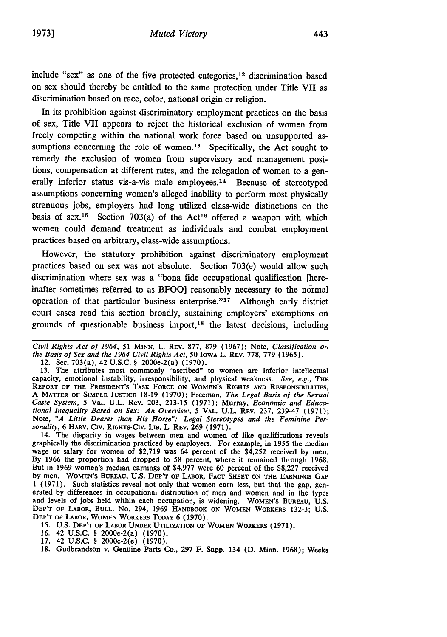include "sex" as one of the five protected categories, 12 discrimination based on sex should thereby be entitled to the same protection under Title VII as discrimination based on race, color, national origin or religion.

In its prohibition against discriminatory employment practices on the basis of sex, Title VII appears to reject the historical exclusion of women from freely competing within the national work force based on unsupported assumptions concerning the role of women. $13$  Specifically, the Act sought to remedy the exclusion of women from supervisory and management positions, compensation at different rates, and the relegation of women to a generally inferior status vis-a-vis male employees.<sup>14</sup> Because of stereotyped assumptions concerning women's alleged inability to perform most physically strenuous jobs, employers had long utilized class-wide distinctions on the basis of sex.<sup>15</sup> Section 703(a) of the Act<sup>16</sup> offered a weapon with which women could demand treatment as individuals and combat employment practices based on arbitrary, class-wide assumptions.

However, the statutory prohibition against discriminatory employment practices based on sex was not absolute. Section 703(e) would allow such discrimination where sex was a "bona fide occupational qualification [hereinafter sometimes referred to as BFOQ] reasonably necessary to the normal operation of that particular business enterprise."'17 Although early district court cases read this section broadly, sustaining employers' exemptions on grounds of questionable business import,18 the latest decisions, including

12. See. 703(a), 42 **U.S.C. §** 2000e-2(a) (1970).

**13.** The attributes most commonly "ascribed" to women are inferior intellectual capacity, emotional instability, irresponsibility, and physical weakness. *See, e.g.,* **THE REPORT** OF **THE PRESIDENT'S** TASK **FORCE ON WOMEN'S RIGHTS AND RESPONSIBILITIES, A MATTER OF SIMPLE JUSTICE 18-19 (1970);** Freeman, *The* Legal Basis *of the Sexual Caste System, 5* Val. U.L. Rev. 203, 213-15 **(1971);** Murray, *Economic and Educational Inequality Based on Sex: An Overview, 5* VAL. **U.L.** REV. 237, 239-47 (1971); Note, *"A Little Dearer than* His *Horse": Legal Stereotypes and the Feminine Per*sonality, **6 HARv.** Civ. **RIGHTs-Civ.** LiB. L. **REV. 269 (1971).**

14. The disparity in wages between men and women of like qualifications reveals graphically the discrimination practiced by employers. For example, in 1955 the median wage or salary for women of \$2,719 was 64 percent of the \$4,252 received by men. **By** 1966 the proportion had dropped to 58 percent, where it remained through 1968. But in 1969 women's median earnings of \$4,977 were 60 percent of the \$8,227 received by men. WOMEN'S **BUREAU,** U.S. **DEP'T OF** LABOR, FACT **SHEET ON THE** EARNINGS **GAP** 1 (1971). Such statistics reveal not only that women earn less, but that the gap, generated by differences in occupational distribution of men and women and in the types and levels of jobs held within each occupation, is widening. WOMEN'S **BUREAU, U.S. DEP'T OF LABOR, BULL.** No. 294, **1969 HANDBOOK ON WOMEN** WORKERS 132-3; **U.S. DEP'T OF** LABOR, WOMEN WORKERS **TODAY 6** (1970).

15. **U.S. DEP'T OF** LABOR **UNDER UTILIZATION OF** WOMEN WORKERS **(1971).**

**16.** 42 **U.S.C. §** 2000e-2(a) **(1970).**

17. 42 U.S.C. § 2000e-2(e) (1970).

18. Gudbrandson v. Genuine Parts Co., 297 F. Supp. 134 (D. Minn. 1968); Weeks

Civil Rights Act of *1964,* 51 **MINN.** L. REV. 877, 879 (1967); Note, Classification or, the Basis *of* Sex and *the* 1964 Civil Rights *Act,* 50 IOWA L. REV. 778, 779 (1965).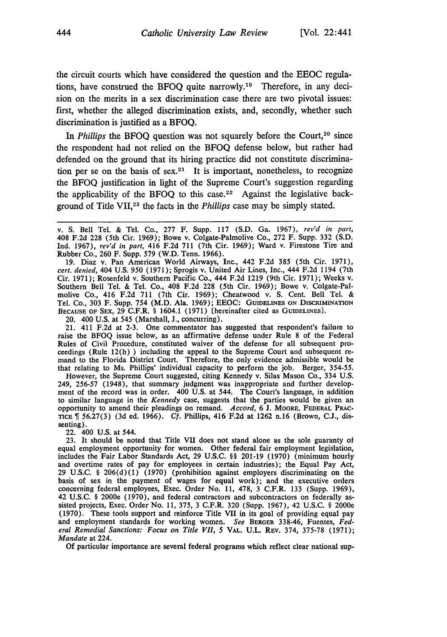the circuit courts which have considered the question and the EEOC regulations, have construed the BFOQ quite narrowly.<sup>19</sup> Therefore, in any decision on the merits in a sex discrimination case there are two pivotal issues: first, whether the alleged discrimination exists, and, secondly, whether such discrimination is justified as a BFOQ.

In *Phillips* the BFOQ question was not squarely before the Court,<sup>20</sup> since the respondent had not relied on the BFOQ defense below, but rather had defended on the ground that its hiring practice did not constitute discrimination per se on the basis of sex.<sup>21</sup> It is important, nonetheless, to recognize the BFOQ justification in light of the Supreme Court's suggestion regarding the applicability of the BFOQ to this case.<sup>22</sup> Against the legislative background of Title VII,23 the facts in the *Phillips* case may be simply stated.

19. Diaz v. Pan American World Airways, Inc., 442 F.2d 385 (5th Cir. 1971), *cert. denied,* 404 U.S. 950 (1971); Sprogis v. United Air Lines, Inc., 444 F.2d 1194 (7th Cir. 1971); Rosenfeld v. Southern Pacific Co., 444 F.2d 1219 (9th Cir. 1971); Weeks v. Southern Bell Tel. & Tel. Co., 408 F.2d 228 (5th Cir. 1969); Bowe v. Colgate-Palmolive Co., 416 F.2d 711 (7th Cir. 1969); Cheatwood v. S. Cent. Bell Tel. & Tel. Co., 303 F. Supp. 754 (M.D. Ala. 1969); EEOC: GUIDELINES ON DISCRIMINATION BECAUSE OF SEX, 29 C.F.R. § 1604.1 (1971) [hereinafter cited as GUIDELINES].

20. 400 U.S. at 545 (Marshall, J., concurring).

21. 411 F.2d at 2-3. One commentator has suggested that respondent's failure to raise the BFOQ issue below, as an affirmative defense under Rule 8 of the Federal Rules of Civil Procedure, constituted waiver of the defense for all subsequent proceedings (Rule 12(h) ) including the appeal to the Supreme Court and subsequent remand to the Florida District Court. Therefore, the only evidence admissible would be that relating to Ms. Phillips' individual capacity to perform the job. Berger, 354-55.

However, the Supreme Court suggested, citing Kennedy v. Silas Mason Co., 334 U.S. 249, 256-57 (1948), that summary judgment was inappropriate and further development of the record was in order. 400 U.S. at 544. The Court's language, in addition to similar language in the *Kennedy* case, suggests that the parties would be given an opportunity to amend their pleadings on remand. *Accord,* 6 J. MOORE, FEDERAL PRACnTCE **1** 56.27(3) (3d ed. 1966). *Cf.* Phillips, 416 **F.2d** at 1262 n.16 (Brown, C.J., dissenting).

22. 400 **U.S.** at 544.

**23.** It should be noted that Title VII does not stand alone as the sole guaranty of equal employment opportunity for women. Other federal fair employment legislation, includes the Fair Labor Standards Act, 29 U.S.C. §§ 201-19 (1970) (minimum hourly and overtime rates of pay for employees in certain industries); the Equal Pay Act, 29 U.S.C. § 206(d)(1) (1970) (prohibition against employers discriminating on the basis of sex in the payment of wages for equal work); and the executive orders concerning federal employees, Exec. Order No. 11, **478,** 3 C.F.R. **133** (Supp. 1969), 42 U.S.C. § 2000e (1970), and federal contractors and subcontractors on federally assisted projects, Exec. Order No. 11, **375,** 3 C.F.R. 320 (Supp. 1967), 42 **U.S.C.** § 2000e (1970). These tools support and reinforce Title VII in its goal of providing equal pay and employment standards for working women. *See* BERGER 338-46, Fuentes, *Federal Remedial Sanctions: Focus on Title VII, 5 VAL. U.L. REV. 374, 375-78 (1971); Mandate* at 224.

**Of** particular importance are several federal programs which reflect clear national sup-

v. S. Bell Tel. & Tel. Co., 277 F. Supp. 117 (S.D. Ga. 1967), *rev'd in part,* 408 F.2d 228 (5th Cir. 1969); Bowe v. Colgate-Palmolive Co., 272 F. Supp. 332 (S.D. Ind. 1967), *rev'd in part,* 416 F.2d 711 (7th Cir. 1969); Ward v. Firestone Tire and Rubber Co., 260 F. Supp. 579 (W.D. Tenn. 1966).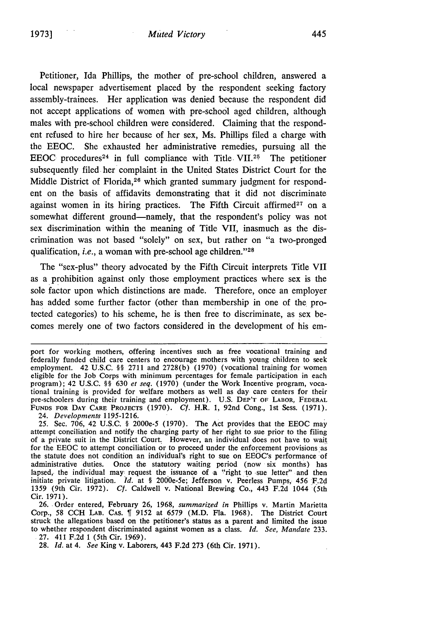Petitioner, Ida Phillips, the mother of pre-school children, answered a local newspaper advertisement placed **by** the respondent seeking factory assembly-trainees. Her application was denied because the respondent did not accept applications of women with pre-school aged children, although males with pre-school children were considered. Claiming that the respondent refused to hire her because of her sex, Ms. Phillips filed a charge with the **EEOC.** She exhausted her administrative remedies, pursuing all the **EEOC** procedures<sup>24</sup> in full compliance with Title. VII.<sup>25</sup> The petitioner subsequently filed her complaint in the United States District Court for the Middle District of Florida,<sup>26</sup> which granted summary judgment for respondent on the basis of affidavits demonstrating that it did not discriminate against women in its hiring practices. The Fifth Circuit affirmed<sup>27</sup> on a somewhat different ground-namely, that the respondent's policy was not sex discrimination within the meaning of **Title** VII, inasmuch as the discrimination was not based "solely" on sex, but rather on "a two-pronged qualification, *i.e.*, a woman with pre-school age children."<sup>28</sup>

The "sex-plus" theory advocated **by** the Fifth Circuit interprets Title VII as a prohibition against only those employment practices where sex is the sole factor upon which distinctions are made. Therefore, once an employer has added some further factor (other than membership in one of the protected categories) to his scheme, he is then free to discriminate, as sex becomes merely one of two factors considered in the development of his em-

24. *Developments* 1195-1216.

25. Sec. 706, 42 U.S.C. § 2000e-5 (1970). The Act provides that the EEOC may attempt conciliation and notify the charging party of her right to sue prior to the filing of a private suit in the District Court. However, an individual does not have to wait for the EEOC to attempt conciliation or to proceed under the enforcement provisions as the statute does not condition an individual's right to sue on EEOC's performance of administrative duties. Once the statutory waiting period (now six months) has lapsed, the individual may request the issuance of a "right to sue letter" and then initiate private litigation. *Id.* at § 2000e-5e; Jefferson v. Peerless Pumps, 456 F.2d 1359 (9th Cir. 1972). Cf. Caldwell v. National Brewing Co., 443 F.2d 1044 (5th Cir. 1971).

26. Order entered, February 26, 1968, *summarized in* Phillips v. Martin Marietta Corp., 58 CCH LAB. CAS. 1 9152 at 6579 (M.D. Fla. 1968). The District Court struck the allegations based on the petitioner's status as a parent and limited the issue to whether respondent discriminated against women as a class. *Id. See, Mandate* 233. 27. 411 F.2d 1 (5th Cir. 1969).

28. *Id.* at 4. *See* King v. Laborers, 443 F.2d 273 (6th Cir. 1971).

port for working mothers, offering incentives such as free vocational training and federally funded child care centers to encourage mothers with young children to seek employment. 42 U.S.C. §§ 2711 and 2728(b) (1970) (vocational training for women eligible for the Job Corps with minimum percentages for female participation in each program); 42 U.S.C. §§ 630 *et seq.* (1970) (under the Work Incentive program, vocational training is provided for welfare mothers as well as day care centers for their pre-schoolers during their training and employment). U.S. DEP'T OF LABOR, FEDERAL **FUNDS** FOR DAY CARE **PROJECTS** (1970). *Cf.* H.R. 1, 92nd Cong., 1st Sess. (1971).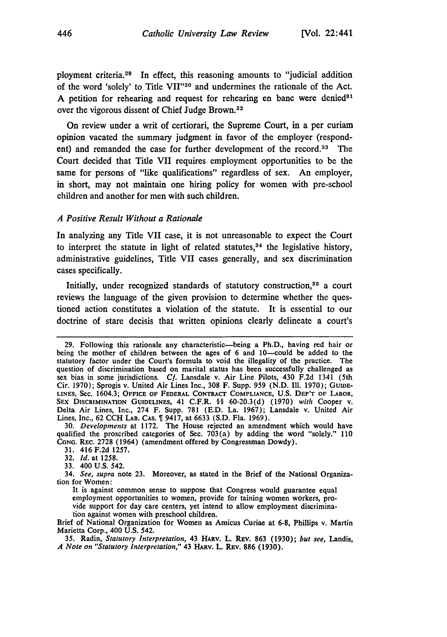ployment criteria. 29 In effect, this reasoning amounts to "judicial addition of the word 'solely' to Title VII"<sup>30</sup> and undermines the rationale of the Act. A petition for rehearing and request for rehearing en banc were denied<sup>31</sup> over the vigorous dissent of Chief Judge Brown.<sup>32</sup>

On review under a writ of certiorari, the Supreme Court, in a per curiam opinion vacated the summary judgment in favor of the employer (respondent) and remanded the case for further development of the record.<sup>33</sup> The Court decided that Title VII requires employment opportunities to be the same for persons of "like qualifications" regardless of sex. An employer, in short, may not maintain one hiring policy for women with pre-school children and another for men with such children.

#### *A Positive Result Without a Rationale*

In analyzing any Title VII case, it is not unreasonable to expect the Court to interpret the statute in light of related statutes,  $34$  the legislative history, administrative guidelines, Title VII cases generally, and sex discrimination cases specifically.

Initially, under recognized standards of statutory construction,<sup>35</sup> a court reviews the language of the given provision to determine whether the questioned action constitutes a violation of the statute. It is essential to our doctrine of stare decisis that written opinions clearly delineate a court's

<sup>29.</sup> Following this rationale any characteristic-being a Ph.D., having red hair or being the mother of children between the ages of 6 and 10--could be added to the statutory factor under the Court's formula to void the illegality of the practice. The question of discrimination based on marital status has been successfully challenged as sex bias in some jurisdictions. *Cf.* Lansdale v. Air Line Pilots, 430 F.2d 1341 (5th Cir. 1970); Sprogis v. United Air Lines Inc., 308 F. Supp. 959 (N.D. Ill. 1970); **GUIDE-LINES,** Sec. 1604.3; **OFFICE OF** FEDERAL **CONTRACT COMPLIANCE, U.S.** DEP'T OF LABOR, SEX DISCRIMINATION **GUIDELINES,** 41 C.F.R. §§ **60-20.3(d) (1970)** *with* Cooper v. Delta Air Lines, Inc., 274 F. Supp. **781 (E.D.** La. **1967);** Lansdale v. United Air Lines, Inc., **62 CCH** LAB. **CAS.** 9417, at **6633 (S.D.** Fla. **1969).**

**<sup>30.</sup>** *Developments* at **1172.** The House rejected an amendment which would have qualified the proscribed categories of Sec. 703(a) **by** adding the word "solely." **110 CONG.** REC. **2728** (1964) (amendment offered **by** Congressman Dowdy).

**<sup>31.</sup>** 416 **F.2d 1257.**

**<sup>32.</sup>** *Id.* at **1258.**

**<sup>33.</sup>** 400 **U.S.** 542.

<sup>34.</sup> *See, supra* note **23.** Moreover, as stated in the Brief of the National Organization for Women:

It is against common sense to suppose that Congress would guarantee equal employment opportunities to women, provide for taining women workers, provide support for day care centers, yet intend to allow employment discrimination against women with preschool children.

Brief of National Organization for Women as Amicus Curiae at **6-8,** Phillips v. Martin Marietta Corp., 400 **U.S.** 542.

**<sup>35.</sup>** Radin, *Statutory Interpretation,* 43 HARv. L. REv. **863 (1930);** *but see,* Landis, *A Note on "Statutory Interpretation,"* 43 HAxv. L. REv. **886 (1930).**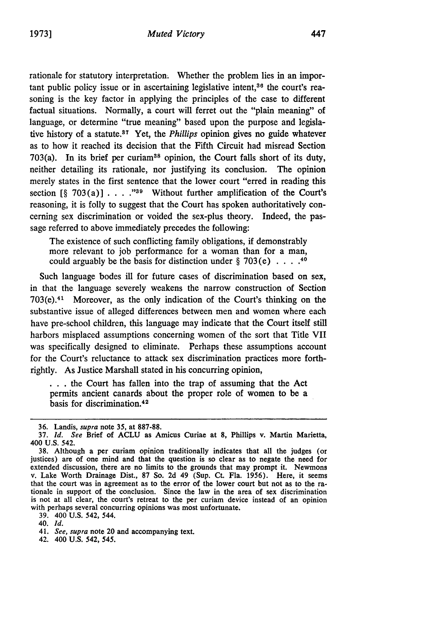rationale for statutory interpretation. Whether the problem lies in an important public policy issue or in ascertaining legislative intent.<sup>36</sup> the court's reasoning is the key factor in applying the principles of the case to different factual situations. Normally, a court will ferret out the "plain meaning" of language, or determine "true meaning" based upon the purpose and legislative history of a statute.<sup>37</sup> Yet, the *Phillips* opinion gives no guide whatever as to how it reached its decision that the Fifth Circuit had misread Section 703(a). In its brief per curiam<sup>38</sup> opinion, the Court falls short of its duty, neither detailing its rationale, nor justifying its conclusion. The opinion merely states in the first sentence that the lower court "erred in reading this section  $\lceil \S \rceil$  703(a)]  $\ldots$  ...<sup>39</sup> Without further amplification of the Court's reasoning, it is folly to suggest that the Court has spoken authoritatively concerning sex discrimination or voided the sex-plus theory. Indeed, the passage referred to above immediately precedes the following:

The existence of such conflicting family obligations, if demonstrably more relevant to job performance for a woman than for a man, could arguably be the basis for distinction under § 703(e) **....** <sup>40</sup>

Such language bodes ill for future cases of discrimination based on sex, in that the language severely weakens the narrow construction of Section  $703(e).<sup>41</sup>$  Moreover, as the only indication of the Court's thinking on the substantive issue of alleged differences between men and women where each have pre-school children, this language may indicate that the Court itself still harbors misplaced assumptions concerning women of the sort that Title VII was specifically designed to eliminate. Perhaps these assumptions account for the Court's reluctance to attack sex discrimination practices more forthrightly. As Justice Marshall stated in his concurring opinion,

**. ..**the Court has fallen into the trap of assuming that the Act permits ancient canards about the proper role of women to be a basis for discrimination.<sup>42</sup>

39. 400 U.S. 542, 544.

40. *Id.*

<sup>36.</sup> Landis, *supra* note 35, at 887-88.

<sup>37.</sup> *Id. See* Brief of ACLU as Amicus Curiae at 8, Phillips v. Martin Marietta, 400 U.S. 542.

<sup>38.</sup> Although a per curiam opinion traditionally indicates that all the judges (or justices) are of one mind and that the question is so clear as to negate the need for extended discussion, there are no limits to the grounds that may prompt it. Newmons v. Lake Worth Drainage Dist., 87 So. 2d 49 (Sup. Ct. Fla. 1956). Here, it seems that the court was in agreement as to the error of the low tionale in support of the conclusion. Since the law in the area of sex discrimination is not at all clear, the court's retreat to the per curiam device instead of an opinion with perhaps several concurring opinions was most unfortunate.

<sup>41.</sup> *See, supra* note 20 and accompanying text.

<sup>42. 400</sup> U.S. 542, *545.*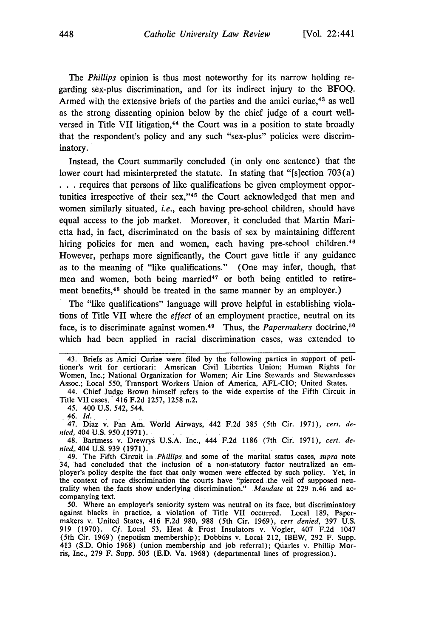*The Phillips* opinion is thus most noteworthy for its narrow holding regarding sex-plus discrimination, and for its indirect injury to the BFOQ. Armed with the extensive briefs of the parties and the amici curiae, 43 as well as the strong dissenting opinion below by the chief judge of a court wellversed in Title VII litigation, 44 the Court was in a position to state broadly that the respondent's policy and any such "sex-plus" policies were discriminatory.

Instead, the Court summarily concluded (in only one sentence) that the lower court had misinterpreted the statute. In stating that "[s]ection 703(a) **.. .**requires that persons of like qualifications be given employment opportunities irrespective of their sex,"<sup>45</sup> the Court acknowledged that men and women similarly situated, *i.e.,* each having pre-school children, should have equal access to the **job** market. Moreover, it concluded that Martin Marietta had, in fact, discriminated on the basis of sex **by** maintaining different hiring policies for men and women, each having pre-school children.<sup>46</sup> However, perhaps more significantly, the Court gave little if any guidance as to the meaning of "like qualifications." (One may infer, though, that men and women, both being married<sup>47</sup> or both being entitled to retirement benefits,<sup>48</sup> should be treated in the same manner by an employer.)

The "like qualifications" language will prove helpful in establishing violations of Title VII where the *effect* of an employment practice, neutral on its face, is to discriminate against women.<sup>49</sup> Thus, the *Papermakers* doctrine,<sup>50</sup> which had been applied in racial discrimination cases, was extended to

Title VII cases. 416 **F.2d** 1257, 1258 n.2.

45. 400 U.S. 542, 544.

46. *Id.*

47. Diaz v. Pan Am. World Airways, 442 **F.2d 385** (5th Cir. 1971), *cert. denied,* 404 U.S. 950 ,(1971).

48. Bartmess v. Drewrys U.S.A. Inc., 444 F.2d 1186 (7th Cir. 1971), *cert. denied,. 404* U.S. **939** (1971).

50. Where an employer's seniority system was neutral on its face, but discriminatory against blacks in practice, a violation of Title VII occurred. Local 189, Papermakers v. United States, 416 F.2d 980, 988 (5th Cir. 1969), *cert denied,* 397 U.S. 919 (1970). **Cf.** Local 53, Heat & Frost Insulators v. Vogler, 407 F.2d 1047 (5th Cir. 1969) (nepotism membership); Dobbins v. Local 212, IBEW, 292 F. Supp. 413 (S.D. Ohio 1968) (union membership and job referral); Quarles v. Phillip Morris, Inc., 279 F. Supp. 505 (E.D. Va. 1968) (departmental lines of progression).

<sup>43.</sup> Briefs as Amici Curiae were filed **by** the following parties in support of petitioner's writ for certiorari: American Civil Liberties Union; Human Rights for Women, Inc.; National Organization for Women; Air Line Stewards and Stewardesses Assoc.; Local 550, Transport Workers Union of America, AFL-CIO; United States. 44. Chief Judge Brown himself refers to the wide expertise of the Fifth Circuit in

<sup>49.</sup> The Fifth Circuit in *.Phillips.* and some of the marital status cases, *supra* note 34, had concluded that the inclusion of a non-statutory factor neutralized an employer's policy despite the fact that only women were effected by such policy. Yet, in the context of race discrimination the courts have "pierced the veil of supposed neu-<br>trality when the facts show underlying discrimination." *Mandate* at 229 n.46 and accompanying text.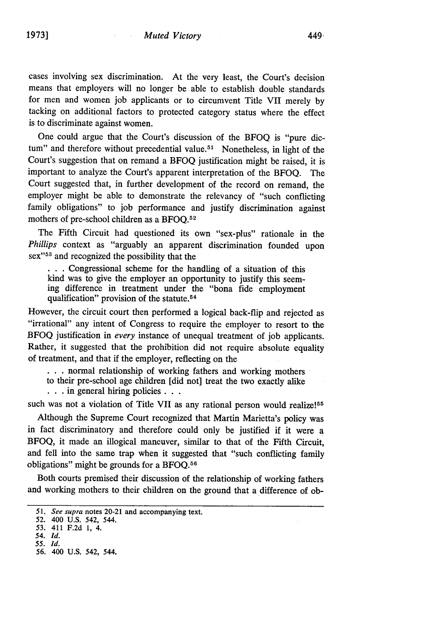cases involving sex discrimination. At the very least, the Court's decision means that employers will no longer be able to establish double standards for men and women job applicants or to circumvent Title VII merely by tacking on additional factors to protected category status where the effect is to discriminate against women.

One could argue that the Court's discussion of the BFOQ is "pure dictum" and therefore without precedential value.<sup>51</sup> Nonetheless, in light of the Court's suggestion that on remand a BFOQ justification might be raised, it is important to analyze the Court's apparent interpretation of the BFOQ. The Court suggested that, in further development of the record on remand, the employer might be able to demonstrate the relevancy of "such conflicting family obligations" to job performance and justify discrimination against mothers of pre-school children as a BFOQ. <sup>52</sup>

The Fifth Circuit had questioned its own "sex-plus" rationale in the *Phillips* context as "arguably an apparent discrimination founded upon sex"<sup>53</sup> and recognized the possibility that the

**. . .**Congressional scheme for the handling of a situation of this kind was to give the employer an opportunity to justify this seeming difference in treatment under the "bona fide employment qualification" provision of the statute. <sup>54</sup>

However, the circuit court then performed a logical back-flip and rejected as "irrational" any intent of Congress to require the employer to resort to the BFOQ justification in *every* instance of unequal treatment of **job** applicants. Rather, it suggested that the prohibition did not require absolute equality of treatment, and that if the employer, reflecting on the

**. . .**normal relationship of working fathers and working mothers

to their pre-school age children [did not] treat the two exactly alike

**. . in** general hiring policies...

such was not a violation of Title VII as any rational person would realize!<sup>55</sup>

Although the Supreme Court recognized that Martin Marietta's policy was in fact discriminatory and therefore could only be justified if it were a **BFOQ,** it made an illogical maneuver, similar to that of the Fifth Circuit, and fell into the same trap when it suggested that "such conflicting family obligations" might be grounds for a BFOQ.<sup>56</sup>

Both courts premised their discussion of the relationship of working fathers and working mothers to their children on the ground that a difference of ob-

*<sup>51.</sup> See supra* notes 20-21 and accompanying text.

**<sup>52.</sup>** 400 **U.S.** 542, 544.

**<sup>53.</sup>** 411 **F.2d 1,** 4.

*<sup>54.</sup> Id. 55. Id.*

<sup>56. 400</sup> U.S. 542, 544.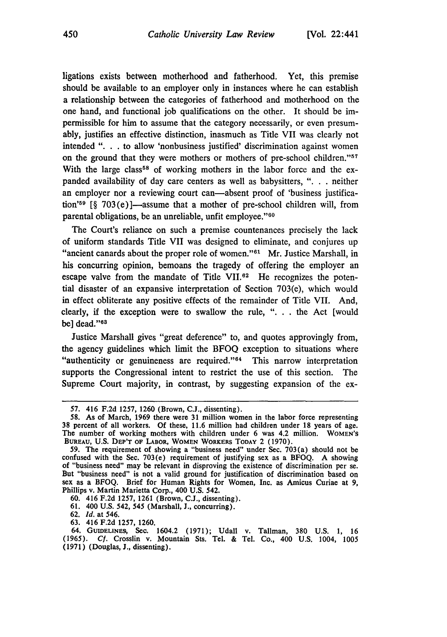ligations exists between motherhood and fatherhood. Yet, this premise should be available to an employer only in instances where he can establish a relationship between the categories of fatherhood and motherhood on the one hand, and functional job qualifications on the other. It should be impermissible for him to assume that the category necessarily, or even presumably, justifies an effective distinction, inasmuch as Title VII was clearly not intended ". **.** . to allow 'nonbusiness justified' discrimination against women on the ground that they were mothers or mothers of pre-school children.' With the large class<sup>58</sup> of working mothers in the labor force and the expanded availability of day care centers as well as babysitters, ". . neither an employer nor a reviewing court can—absent proof of 'business justification'<sup>59</sup> [§ 703(e)]—assume that a mother of pre-school children will, from parental obligations, be an unreliable, unfit employee."<sup>60</sup>

The Court's reliance on such a premise countenances precisely the lack of uniform standards Title VII was designed to eliminate, and conjures up "ancient canards about the proper role of women."<sup>61</sup> Mr. Justice Marshall, in his concurring opinion, bemoans the tragedy of offering the employer an escape valve from the mandate of Title VII.62 He recognizes the potential disaster of an expansive interpretation of Section 703(e), which would in effect obliterate any positive effects of the remainder of Title VII. And, clearly, **if** the exception were to swallow the rule, "... the Act [would be] dead."<sup>68</sup>

Justice Marshall gives "great deference" to, and quotes approvingly from, the agency guidelines which limit the **BFOQ** exception to situations where "authenticity or genuineness are required." $64$  This narrow interpretation supports the Congressional intent to restrict the use of this section. The Supreme Court majority, in contrast, **by** suggesting expansion of the ex-

- **61.** 400 **U.S.** 542, 545 (Marshall, **J.,** concurring).
- **62.** *Id.* at 546.
- **63.** 416 **F.2d 1257, 1260.**

**<sup>57.</sup>** 416 **F.2d** 1257, 1260 (Brown, C.J., dissenting).

**<sup>58.</sup>** As of March, 1969 there were **31** million women in the labor force representing **38** percent of all workers. Of these, 11.6 million had children under **18** years of age. The number of working mothers with children under 6 was 4.2 million. **WOMEN'S BUREAU, U.S. DEP'T OF LABOR, WOMEN** WORKERS **TODAY** 2 **(1970).**

**<sup>59.</sup>** The requirement of showing a "business need" under Sec. 703(a) should not be confused with the Sec. 703(e) requirement of justifying sex as a **BFOQ.** A showing of "business need" may be relevant in disproving the existence of discrimination per se. But "business need" is not a valid ground for justification of discrimination based on sex as a BFOQ. Brief for Human Rights for Women, Inc. as Amicus Curiae at **9,** Phillips v. Martin Marietta Corp., 400 **U.S.** 542.

**<sup>60.</sup>** 416 **F.2d 1257, 1261** (Brown, **C.J.,** dissenting).

<sup>64.</sup> **GUIDELINES,** Sec. 1604.2 **(1971);** Udall v. Tallman, **380 U.S. 1, 16 (1965).** *Cf.* Crosslin v. Mountain Sts. Tel. **&** Tel. Co., 400 **U.S.** 1004, **1005 (1971)** (Douglas, **J.,** dissenting).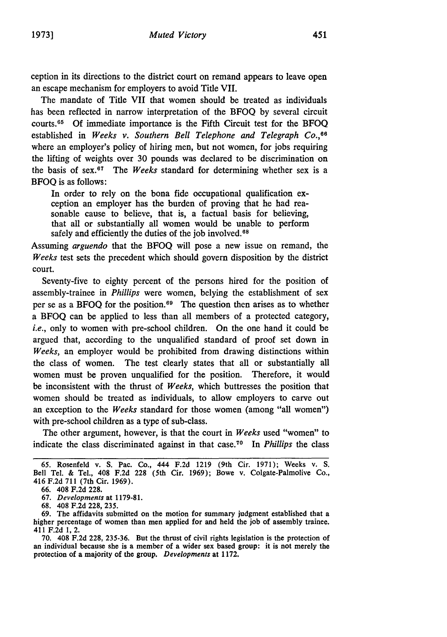ception in its directions to the district court on remand appears to leave open an escape mechanism for employers to avoid Title VII.

The mandate of Title VII that women should be treated as individuals has been reflected in narrow interpretation of the BFOQ by several circuit courts. <sup>65</sup>**Of** immediate importance is the Fifth Circuit test for the BFOQ established in *Weeks v. Southern Bell Telephone and Telegraph Co.,66* where an employer's policy of hiring men, but not women, for jobs requiring the lifting of weights over 30 pounds was declared to be discrimination on the basis of sex.<sup>67</sup> The Weeks standard for determining whether sex is a BFOQ is as follows:

In order to rely on the bona fide occupational qualification exception an employer has the burden of proving that he had reasonable cause to believe, that is, a factual basis for believing, that all or substantially all women would be unable to perform safely and efficiently the duties of the job involved.<sup>68</sup>

Assuming *arguendo* that the BFOQ will pose a new issue on remand, the *Weeks* test sets the precedent which should govern disposition by the district court.

Seventy-five to eighty percent of the persons hired for the position of assembly-trainee in *Phillips* were women, belying the establishment of sex per se as a **BFOQ** for the position. 69 The question then arises as to whether a **BFOQ** can be applied to less than all members of a protected category, *i.e.*, only to women with pre-school children. On the one hand it could be argued that, according to the unqualified standard of proof set down in *Weeks,* an employer would be prohibited from drawing distinctions within the class of women. The test clearly states that all or substantially all women must be proven unqualified for the position. Therefore, it would be inconsistent with the thrust of *Weeks,* which buttresses the position that women should be treated as individuals, to allow employers to carve out an exception to the *Weeks* standard for those women (among "all women") with pre-school children as a type of sub-class.

The other argument, however, is that the court in *Weeks* used "women" to indicate the class discriminated against in that case. 70 In *Phillips* the class

**<sup>65.</sup>** Rosenfeld v. **S.** Pac. Co., 444 **F.2d 1219** (9th Cir. **1971);** Weeks v. **S.** Bell Tel. **&** Tel., 408 **F.2d 228** (5th Cir. **1969);** Bowe v. Colgate-Palmolive **Co.,** 416 **F.2d 711** (7th Cir. **1969).**

**<sup>66.</sup>** 408 **F.2d 228.**

**<sup>67.</sup>** Developments at **1179-81.**

**<sup>68.</sup>** 408 **F.2d 228, 235.**

**<sup>69.</sup>** The affidavits submitted on the motion for summary judgment established that a higher percentage of women than men applied for and held the **job** of assembly trainee. 411 **F.2d 1,** 2.

**<sup>70.</sup>** 408 **F.2d 228, 235-36.** But the thrust of civil rights legislation is the protection of an individual because she is a member of a wider sex based group: it is not merely the protection of a majority of the group. Developments at **1172.**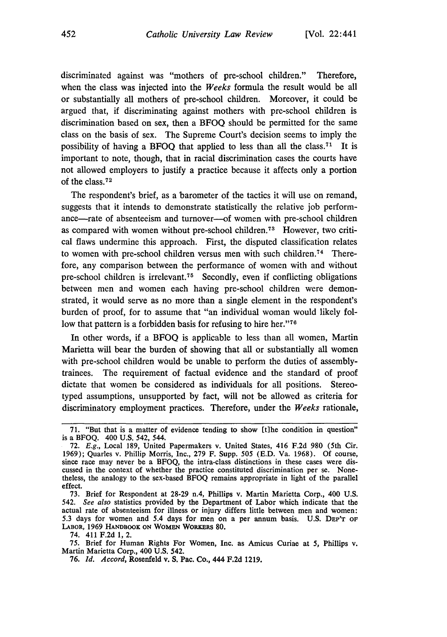discriminated against was "mothers of pre-school children." Therefore, when the class was injected into the *Weeks* formula the result would be all or substantially all mothers of pre-school children. Moreover, it could be argued that, if discriminating against mothers with pre-school children is discrimination based on sex, then a BFOQ should be permitted for the same class on the basis of sex. The Supreme Court's decision seems to imply the possibility of having a **BFOQ** that applied to less than all the class.71 It is important to note, though, that in racial discrimination cases the courts have not allowed employers to justify a practice because it affects only a portion of the class. <sup>72</sup>

The respondent's brief, as a barometer of the tactics it will use on remand, suggests that it intends to demonstrate statistically the relative job performance-rate of absenteeism and turnover-of women with pre-school children as compared with women without pre-school children.<sup>73</sup> However, two critical flaws undermine this approach. First, the disputed classification relates to women with pre-school children versus men with such children.<sup>74</sup> Therefore, any comparison between the performance of women with and without pre-school children is irrelevant. 75 Secondly, even if conflicting obligations between men and women each having pre-school children were demonstrated, it would serve as no more than a single element in the respondent's burden of proof, for to assume that "an individual woman would likely follow that pattern is a forbidden basis for refusing to hire her."<sup>76</sup>

In other words, **if** a **BFOQ** is applicable to less than all women, Martin Marietta will bear the burden of showing that all or substantially all women with pre-school children would be unable to perform the duties of assemblytrainees. The requirement of factual evidence and the standard of proof dictate that women be considered as individuals for all positions. Stereotyped assumptions, unsupported **by** fact, will not be allowed as criteria for discriminatory employment practices. Therefore, under the *Weeks* rationale,

74. 411 F.2d 1, 2.

75. Brief for Human Rights For Women, Inc. as Amicus Curiae at *5,* Phillips v. Martin Marietta Corp., 400 U.S. 542.

**<sup>71.</sup>** "But that is a matter of evidence tending to show **[tihe** condition in question" is a **BFOQ.** 400 **U.S.** 542, 544.

**<sup>72.</sup>** *E.g.,* Local **189,** United Papermakers v. United States, 416 **F.2d 980** (5th Cir. **1969);** Quarles v. Phillip Morris, Inc., **279** F. Supp. **505 (E.D.** Va. **1968). Of** course, since race may never be a BFOQ, the intra-class distinctions in these cases were discussed in the context of whether the practice constituted discrimination per se. Nonetheless, the analogy to the sex-based BFOQ remains appropriate in light of the parallel effect.

<sup>73.</sup> Brief for Respondent at 28-29 n.4, Phillips v. Martin Marietta Corp., 400 U.S. *542. See also* statistics provided by the Department of Labor which indicate that the actual rate of absenteeism for illness or injury differs little between men and women: 5.3 days for women and 5.4 days for men on a per annum basis. U.S. **DEP'T** OF **LABOR,** 1969 **HANDBOOK ON** WOMEN WORKERS 80.

<sup>76.</sup> *Id. Accord,* Rosenfeld v. S. Pac. Co., 444 F.2d 1219.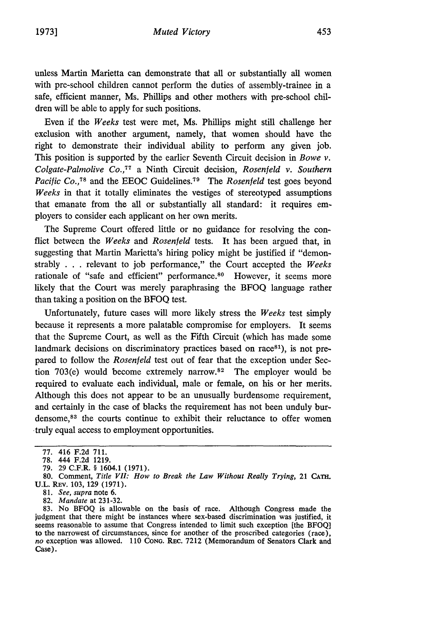unless Martin Marietta can demonstrate that all or substantially all women with pre-school children cannot perform the duties of assembly-trainee in a safe, efficient manner, Ms. Phillips and other mothers with pre-school children will be able to apply for such positions.

Even if the *Weeks* test were met, Ms. Phillips might still challenge her exclusion with another argument, namely, that women should have the right to demonstrate their individual ability to perform any given job. This position is supported by the earlier Seventh Circuit decision in *Bowe v. Colgate-Palmolive Co.,77* a Ninth Circuit decision, *Rosenfeld v. Southern Pacific Co.*,<sup>78</sup> and the EEOC Guidelines.<sup>79</sup> The *Rosenfeld* test goes beyond *Weeks* in that it totally eliminates the vestiges of stereotyped assumptions that emanate from the all or substantially all standard: it requires employers to consider each applicant on her own merits.

The Supreme Court offered little or no guidance for resolving the conflict between the *Weeks* and *Rosenfeld* tests. It has been argued that, in suggesting that Martin Marietta's hiring policy might be justified if "demonstrably . . . relevant to job performance," the Court accepted the *Weeks* rationale of "safe and efficient" performance.<sup>80</sup> However, it seems more likely that the Court was merely paraphrasing the BFOQ language rather than taking a position on the BFOQ test.

Unfortunately, future cases will more likely stress the *Weeks* test simply because it represents a more palatable compromise for employers. It seems that the Supreme Court, as well as the Fifth Circuit (which has made some landmark decisions on discriminatory practices based on race<sup>81</sup>), is not prepared to follow the *Rosenfeld* test out of fear that the exception under Section 703(e) would become extremely narrow.<sup>82</sup> The employer would be required to evaluate each individual, male or female, on his or her merits. Although this does not appear to be an unusually burdensome requirement, and certainly in the case of blacks the requirement has not been unduly burdensome,<sup>83</sup> the courts continue to exhibit their reluctance to offer women truly equal access to employment opportunities.

<sup>77. 416</sup> F.2d 711.

<sup>78. 444</sup> F.2d 1219.

<sup>79. 29</sup> C.F.R. § 1604.1 (1971).

<sup>80.</sup> Comment, *Title VII: How to Break the Law Without Really Trying,* 21 **CATE.** U.L. REv. 103, 129 (1971).

<sup>81.</sup> *See, supra* note 6.

<sup>82.</sup> *Mandate* at 231-32.

<sup>83.</sup> No BFOQ is allowable on the basis of race. Although Congress made the judgment that there might be instances where sex-based discrimination was justified, it seems reasonable to assume that Congress intended to limit such exception [the BFOQ] to the narrowest of circumstances, since for another of the proscribed categories (race), *no* exception was allowed. 110 **CONG.** REc. 7212 (Memorandum of Senators Clark and Case).